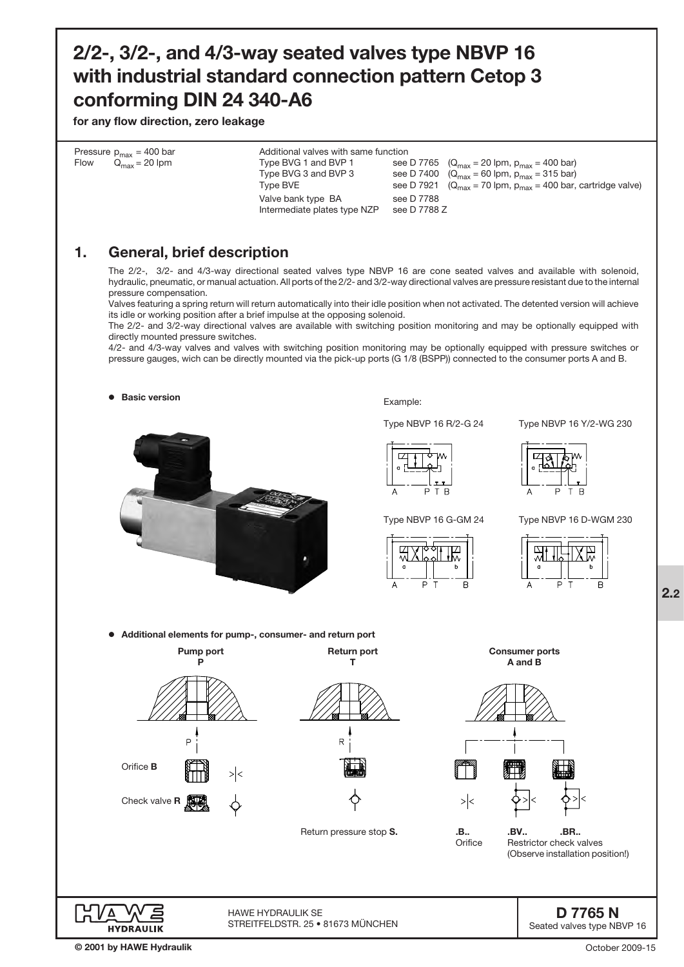## 2/2-, 3/2-, and 4/3-way seated valves type NBVP 16 with industrial standard connection pattern Cetop 3 conforming DIN 24 340-A6

for any flow direction, zero leakage

| Flow | Pressure $p_{max}$ = 400 bar<br>$Q_{\text{max}} = 20$ lpm                                                                                                                          | Additional valves with same function<br>Type BVG 1 and BVP 1<br>Type BVG 3 and BVP 3<br>Type BVE<br>Valve bank type BA<br>Intermediate plates type NZP | see D 7921<br>see D 7788<br>see D 7788 Z | see D 7765 ( $Q_{\text{max}} = 20$ lpm, $p_{\text{max}} = 400$ bar)<br>see D 7400 $(Q_{\text{max}} = 60 \text{ lpm}, p_{\text{max}} = 315 \text{ bar})$<br>$(Q_{\text{max}} = 70 \text{ lpm}, p_{\text{max}} = 400 \text{ bar}, \text{cartridge value})$                                                                                                                                                                                                                                                                                                                                                                                                                                                                                                                                                      |
|------|------------------------------------------------------------------------------------------------------------------------------------------------------------------------------------|--------------------------------------------------------------------------------------------------------------------------------------------------------|------------------------------------------|---------------------------------------------------------------------------------------------------------------------------------------------------------------------------------------------------------------------------------------------------------------------------------------------------------------------------------------------------------------------------------------------------------------------------------------------------------------------------------------------------------------------------------------------------------------------------------------------------------------------------------------------------------------------------------------------------------------------------------------------------------------------------------------------------------------|
| 1.   | <b>General, brief description</b><br>pressure compensation.<br>its idle or working position after a brief impulse at the opposing solenoid.<br>directly mounted pressure switches. |                                                                                                                                                        |                                          | The 2/2-, 3/2- and 4/3-way directional seated valves type NBVP 16 are cone seated valves and available with solenoid,<br>hydraulic, pneumatic, or manual actuation. All ports of the 2/2- and 3/2-way directional valves are pressure resistant due to the internal<br>Valves featuring a spring return will return automatically into their idle position when not activated. The detented version will achieve<br>The 2/2- and 3/2-way directional valves are available with switching position monitoring and may be optionally equipped with<br>4/2- and 4/3-way valves and valves with switching position monitoring may be optionally equipped with pressure switches or<br>pressure gauges, wich can be directly mounted via the pick-up ports (G 1/8 (BSPP)) connected to the consumer ports A and B. |

● Basic version



Example:

Type NBVP 16 R/2-G 24 Type NBVP 16 Y/2-WG 230













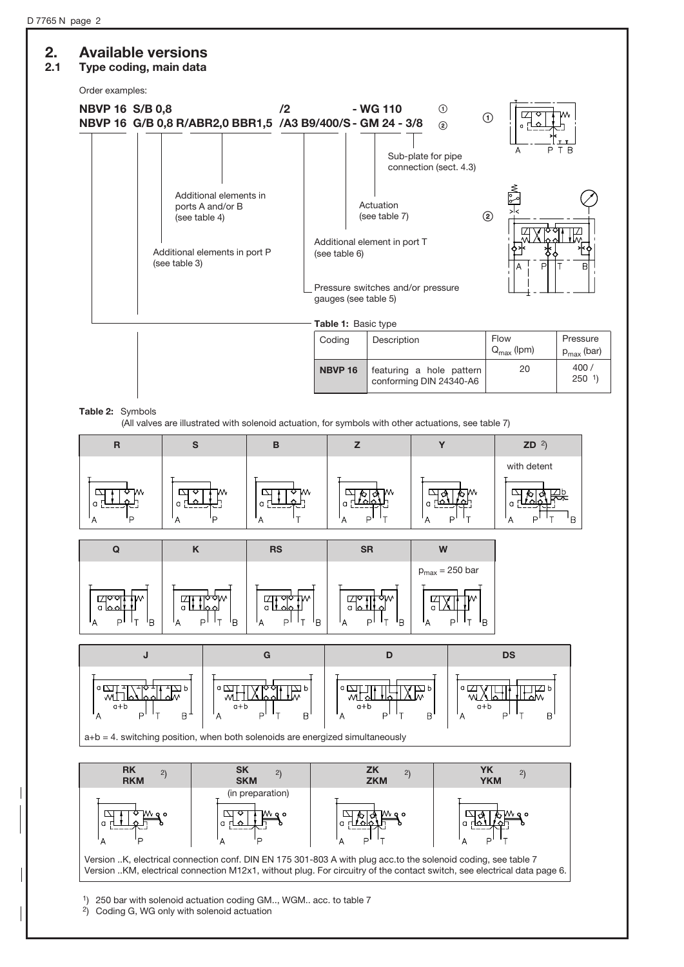## 2. Available versions

### 2.1 Type coding, main data



Table 2: Symbols

 $a+b$ 

 $\perp$ <sub>T</sub>  $\mathsf{P}^{\mathsf{I}}$ 

 $\overline{B}$ 

(All valves are illustrated with solenoid actuation, for symbols with other actuations, see table 7)



a+b = 4. switching position, when both solenoids are energized simultaneously

 $\mathsf{P}_{\mathsf{P}}$ 

 $\overline{B}$ 

 $a+b$ 



 $a+b$ 

 $\mathsf{P}$  $\perp$ 

 $\overline{B}$ 

 $a+b$ 

 $\overline{B}$ 

Version ..K, electrical connection conf. DIN EN 175 301-803 A with plug acc.to the solenoid coding, see table 7 Version ..KM, electrical connection M12x1, without plug. For circuitry of the contact switch, see electrical data page 6.

1) 250 bar with solenoid actuation coding GM.., WGM.. acc. to table 7

 $2)$  Coding G, WG only with solenoid actuation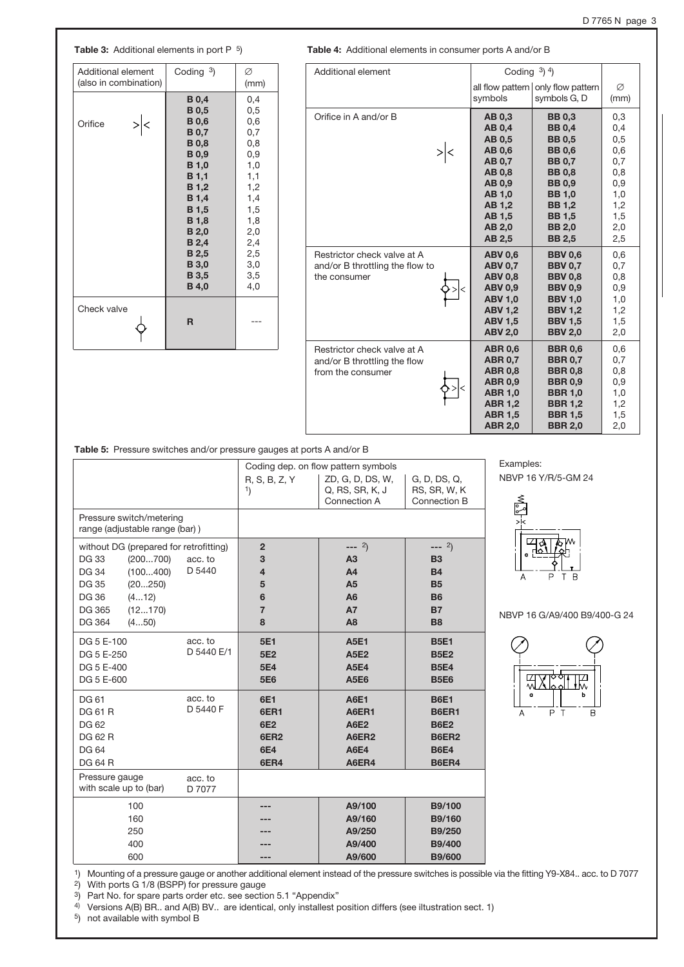### Table 3: Additional elements in port P <sup>5</sup>) Table 4: Additional elements in consumer ports A and/or B

| <b>Additional element</b> | Coding $3$ ) | Ø    |
|---------------------------|--------------|------|
| (also in combination)     |              | (mm) |
|                           | <b>B</b> 0,4 | 0,4  |
|                           | <b>B</b> 0,5 | 0,5  |
| Orifice                   | <b>B</b> 0,6 | 0,6  |
|                           | <b>B</b> 0,7 | 0,7  |
|                           | <b>B</b> 0,8 | 0,8  |
|                           | <b>B</b> 0,9 | 0,9  |
|                           | <b>B</b> 1,0 | 1,0  |
|                           | <b>B</b> 1,1 | 1,1  |
|                           | <b>B</b> 1,2 | 1,2  |
|                           | <b>B</b> 1,4 | 1,4  |
|                           | <b>B</b> 1,5 | 1,5  |
|                           | <b>B</b> 1,8 | 1,8  |
|                           | <b>B</b> 2,0 | 2,0  |
|                           | <b>B</b> 2,4 | 2,4  |
|                           | <b>B</b> 2,5 | 2,5  |
|                           | <b>B</b> 3,0 | 3,0  |
|                           | <b>B</b> 3,5 | 3,5  |
|                           | <b>B</b> 4,0 | 4,0  |
| Check valve               | R            |      |

| Additional element                                                               | Coding $3)$ 4)                                                                                                                               |                                                                                                                                                                                                        |                                                                                  |
|----------------------------------------------------------------------------------|----------------------------------------------------------------------------------------------------------------------------------------------|--------------------------------------------------------------------------------------------------------------------------------------------------------------------------------------------------------|----------------------------------------------------------------------------------|
|                                                                                  | symbols                                                                                                                                      | all flow pattern   only flow pattern<br>symbols G, D                                                                                                                                                   | Ø<br>(mm)                                                                        |
| Orifice in A and/or B                                                            | AB 0.3<br><b>AB 0,4</b><br>AB 0,5<br><b>AB 0.6</b><br>AB 0,7<br>AB 0,8<br>AB 0,9<br>AB 1,0<br>AB 1,2<br>AB 1,5<br>AB 2,0<br>AB 2,5           | <b>BB 0.3</b><br><b>BB 0,4</b><br><b>BB0.5</b><br><b>BB0.6</b><br><b>BB 0.7</b><br><b>BB 0.8</b><br><b>BB 0.9</b><br><b>BB 1,0</b><br><b>BB 1,2</b><br><b>BB 1,5</b><br><b>BB 2,0</b><br><b>BB 2,5</b> | 0,3<br>0,4<br>0,5<br>0,6<br>0,7<br>0,8<br>0,9<br>1,0<br>1,2<br>1,5<br>2,0<br>2,5 |
| Restrictor check valve at A<br>and/or B throttling the flow to<br>the consumer   | <b>ABV 0,6</b><br><b>ABV 0.7</b><br><b>ABV 0,8</b><br><b>ABV 0.9</b><br>ABV 1,0<br><b>ABV 1,2</b><br><b>ABV 1.5</b><br><b>ABV 2,0</b>        | <b>BBV 0.6</b><br><b>BBV 0.7</b><br><b>BBV 0,8</b><br><b>BBV 0.9</b><br><b>BBV 1,0</b><br><b>BBV 1,2</b><br><b>BBV 1,5</b><br><b>BBV 2,0</b>                                                           | 0,6<br>0,7<br>0,8<br>0,9<br>1,0<br>1,2<br>1,5<br>2,0                             |
| Restrictor check valve at A<br>and/or B throttling the flow<br>from the consumer | <b>ABR 0,6</b><br><b>ABR 0.7</b><br><b>ABR 0.8</b><br><b>ABR 0,9</b><br><b>ABR 1,0</b><br><b>ABR 1,2</b><br><b>ABR 1,5</b><br><b>ABR 2,0</b> | <b>BBR 0,6</b><br><b>BBR 0.7</b><br><b>BBR 0.8</b><br><b>BBR 0,9</b><br><b>BBR 1,0</b><br><b>BBR 1,2</b><br><b>BBR 1,5</b><br><b>BBR 2,0</b>                                                           | 0,6<br>0,7<br>0,8<br>0,9<br>1,0<br>1,2<br>1,5<br>2,0                             |

Table 5: Pressure switches and/or pressure gauges at ports A and/or B

|                                                                                                                                                                                                                | Coding dep. on flow pattern symbols                                                          |                                                                                                                 |                                                                                           |  |
|----------------------------------------------------------------------------------------------------------------------------------------------------------------------------------------------------------------|----------------------------------------------------------------------------------------------|-----------------------------------------------------------------------------------------------------------------|-------------------------------------------------------------------------------------------|--|
|                                                                                                                                                                                                                | R, S, B, Z, Y<br>1)                                                                          | ZD, G, D, DS, W,<br>Q, RS, SR, K, J<br>Connection A                                                             | G, D, DS, Q,<br>RS, SR, W, K<br>Connection B                                              |  |
| Pressure switch/metering<br>range (adjustable range (bar))                                                                                                                                                     |                                                                                              |                                                                                                                 |                                                                                           |  |
| without DG (prepared for retrofitting)<br><b>DG33</b><br>(200700)<br>acc. to<br>D 5440<br>(100400)<br><b>DG 34</b><br><b>DG 35</b><br>(20250)<br><b>DG 36</b><br>(412)<br>(12170)<br>DG 365<br>DG 364<br>(450) | $\overline{2}$<br>3<br>$\overline{\mathbf{4}}$<br>5<br>$6\phantom{1}$<br>$\overline{7}$<br>8 | $--- 2)$<br>A <sub>3</sub><br>A <sub>4</sub><br>A <sub>5</sub><br>A <sub>6</sub><br><b>A7</b><br>A <sub>8</sub> | $--- 2)$<br><b>B3</b><br><b>B4</b><br><b>B5</b><br><b>B6</b><br><b>B7</b><br><b>B8</b>    |  |
| acc. to<br>DG 5 E-100<br>D 5440 E/1<br>DG 5 E-250<br>DG 5 E-400<br>DG 5 E-600                                                                                                                                  | 5E1<br>5E <sub>2</sub><br>5E4<br>5E6                                                         | <b>A5E1</b><br><b>A5E2</b><br><b>A5E4</b><br><b>A5E6</b>                                                        | <b>B5E1</b><br><b>B5E2</b><br><b>B5E4</b><br><b>B5E6</b>                                  |  |
| acc. to<br><b>DG 61</b><br>D 5440 F<br><b>DG 61 R</b><br>DG 62<br><b>DG 62 R</b><br><b>DG 64</b><br><b>DG 64 R</b>                                                                                             | 6E1<br>6ER1<br>6E2<br>6ER <sub>2</sub><br>6E4<br>6ER4                                        | <b>A6E1</b><br>A6ER1<br><b>A6E2</b><br>A6ER2<br><b>A6E4</b><br>A6ER4                                            | <b>B6E1</b><br><b>B6ER1</b><br><b>B6E2</b><br><b>B6ER2</b><br><b>B6E4</b><br><b>B6ER4</b> |  |
| Pressure gauge<br>acc. to<br>with scale up to (bar)<br>D 7077                                                                                                                                                  |                                                                                              |                                                                                                                 |                                                                                           |  |
| 100<br>160<br>250<br>400                                                                                                                                                                                       |                                                                                              | A9/100<br>A9/160<br>A9/250<br>A9/400                                                                            | B9/100<br>B9/160<br>B9/250<br><b>B9/400</b>                                               |  |
| 600                                                                                                                                                                                                            |                                                                                              | A9/600                                                                                                          | <b>B9/600</b>                                                                             |  |

Examples: NBVP 16 Y/R/5-GM 24



NBVP 16 G/A9/400 B9/400-G 24

|   |        | V |
|---|--------|---|
| a |        | Ь |
|   | T<br>₽ | B |

1) Mounting of a pressure gauge or another additional element instead of the pressure switches is possible via the fitting Y9-X84.. acc. to D 7077

2) With ports G 1/8 (BSPP) for pressure gauge<br><sup>3</sup>) Part No. for spare parts order etc. see section 5.1 "Appendix"

4) Versions A(B) BR.. and A(B) BV.. are identical, only installest position differs (see iltustration sect. 1)

5) not available with symbol B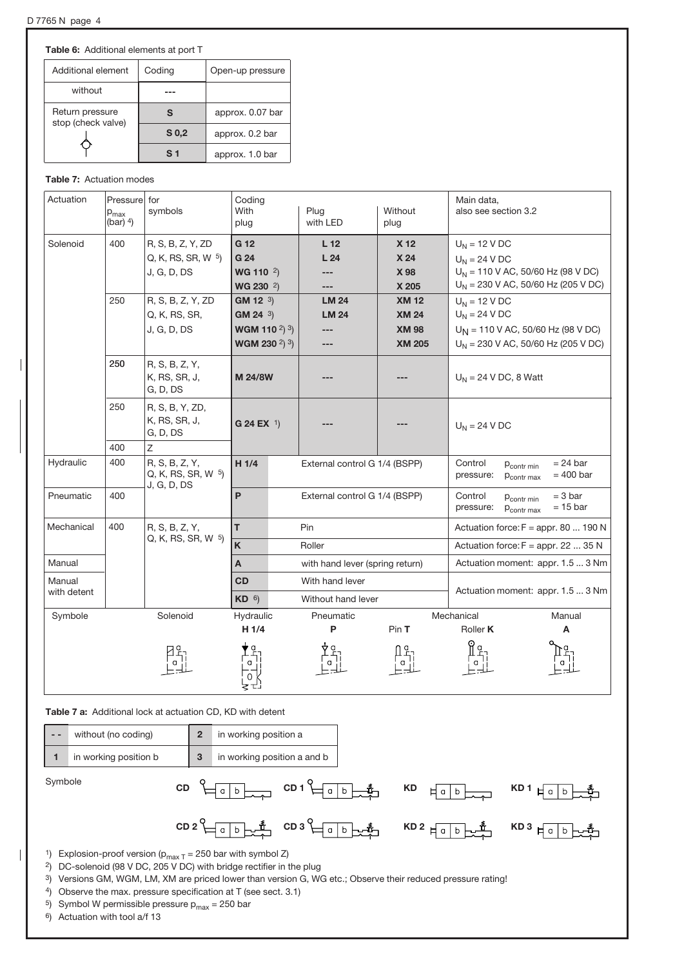Table 6: Additional elements at port T

| Additional element                    | Coding           | Open-up pressure |
|---------------------------------------|------------------|------------------|
| without                               |                  |                  |
| Return pressure<br>stop (check valve) | S                | approx. 0.07 bar |
|                                       | S <sub>0,2</sub> | approx. 0.2 bar  |
|                                       | S <sub>1</sub>   | approx. 1.0 bar  |

#### Table 7: Actuation modes

| Actuation   | Pressure for<br>${\sf p}_{\sf max}$<br>(bar) $4$ ) | symbols                                                | Coding<br>With<br>plug                                                                               | Plug<br>with LED                     | Without<br>plug                                               | Main data,<br>also see section 3.2                                                                                  |
|-------------|----------------------------------------------------|--------------------------------------------------------|------------------------------------------------------------------------------------------------------|--------------------------------------|---------------------------------------------------------------|---------------------------------------------------------------------------------------------------------------------|
| Solenoid    | 400                                                | R, S, B, Z, Y, ZD<br>Q, K, RS, SR, W 5)<br>J, G, D, DS | G 12<br>G 24<br>WG 110 $2)$<br>WG 230 <sup>2</sup> )                                                 | L <sub>12</sub><br>L24<br>---<br>--- | X 12<br>X 24<br>X 98<br>X 205                                 | $U_N$ = 12 V DC<br>$U_N$ = 24 V DC<br>$U_N$ = 110 V AC, 50/60 Hz (98 V DC)<br>$U_N$ = 230 V AC, 50/60 Hz (205 V DC) |
|             | 250                                                | R, S, B, Z, Y, ZD<br>Q, K, RS, SR,<br>J, G, D, DS      | <b>GM 12</b> $3)$<br>$GM 24^{3}$<br>WGM 110 $^{2})$ $^{3})$<br>WGM 230 <sup>2</sup> ) <sup>3</sup> ) | <b>LM 24</b><br><b>LM 24</b>         | <b>XM 12</b><br><b>XM 24</b><br><b>XM 98</b><br><b>XM 205</b> | $U_N$ = 12 V DC<br>$U_N$ = 24 V DC<br>$U_N$ = 110 V AC, 50/60 Hz (98 V DC)<br>$U_N$ = 230 V AC, 50/60 Hz (205 V DC) |
|             | 250                                                | R, S, B, Z, Y,<br>K, RS, SR, J,<br>G, D, DS            | M 24/8W                                                                                              |                                      |                                                               | $U_N$ = 24 V DC, 8 Watt                                                                                             |
|             | 250                                                | R, S, B, Y, ZD,<br>K, RS, SR, J,<br>G, D, DS           | G 24 EX $1$                                                                                          |                                      |                                                               | $U_N = 24 VDC$                                                                                                      |
|             | 400                                                | Ζ                                                      |                                                                                                      |                                      |                                                               |                                                                                                                     |
| Hydraulic   | 400                                                | R, S, B, Z, Y,<br>Q, K, RS, SR, W 5)<br>J, G, D, DS    | $H$ 1/4                                                                                              | External control G 1/4 (BSPP)        |                                                               | Control<br>$= 24$ bar<br>P <sub>contr</sub> min<br>$= 400$ bar<br>pressure:<br>P <sub>contr</sub> max               |
| Pneumatic   | 400                                                |                                                        | P                                                                                                    | External control G 1/4 (BSPP)        |                                                               | Control<br>$= 3 bar$<br>P <sub>contr</sub> min<br>$= 15$ bar<br>pressure:<br>P <sub>contr</sub> max                 |
| Mechanical  | 400                                                | R, S, B, Z, Y,                                         | T.                                                                                                   | Pin                                  |                                                               | Actuation force: $F = appr. 80  190 N$                                                                              |
|             |                                                    | Q, K, RS, SR, W 5)                                     | K                                                                                                    | Roller                               |                                                               | Actuation force: $F = appr$ . 22  35 N                                                                              |
| Manual      |                                                    |                                                        | A                                                                                                    | with hand lever (spring return)      |                                                               | Actuation moment: appr. 1.5  3 Nm                                                                                   |
| Manual      |                                                    |                                                        | <b>CD</b>                                                                                            | With hand lever                      |                                                               |                                                                                                                     |
| with detent |                                                    |                                                        | $KD$ <sup>6</sup> )                                                                                  | Without hand lever                   |                                                               | Actuation moment: appr. 1.5  3 Nm                                                                                   |
| Symbole     |                                                    | Solenoid                                               | Hydraulic                                                                                            | Pneumatic                            |                                                               | Mechanical<br>Manual                                                                                                |
|             |                                                    |                                                        | H 1/4                                                                                                | P                                    | PinT                                                          | Roller <b>K</b><br>А                                                                                                |
|             |                                                    |                                                        |                                                                                                      |                                      |                                                               |                                                                                                                     |

Table 7 a: Additional lock at actuation CD, KD with detent



- 1) Explosion-proof version ( $p_{max\ T} = 250$  bar with symbol Z)
- 2) DC-solenoid (98 V DC, 205 V DC) with bridge rectifier in the plug
- 3) Versions GM, WGM, LM, XM are priced lower than version G, WG etc.; Observe their reduced pressure rating!
- 4) Observe the max. pressure specification at T (see sect. 3.1)
- <sup>5</sup>) Symbol W permissible pressure  $p_{max} = 250$  bar
- 6) Actuation with tool a/f 13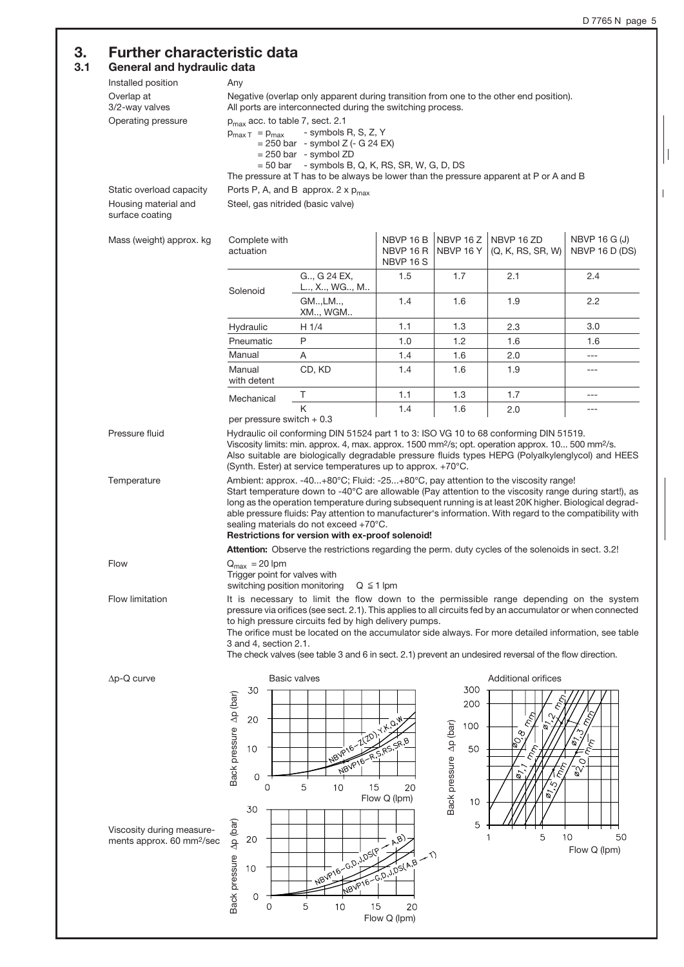$\vert$ 

 $\overline{\phantom{a}}$ 

## 3. Further characteristic data

#### 3.1 General and hydraulic data

| General and hydraulic data                                         |                                                                             |                                                                                                                                                                                                                                                                                                                                                                                                                                                                                                                                                                                                                       |                                           |                                                         |                                 |                                 |
|--------------------------------------------------------------------|-----------------------------------------------------------------------------|-----------------------------------------------------------------------------------------------------------------------------------------------------------------------------------------------------------------------------------------------------------------------------------------------------------------------------------------------------------------------------------------------------------------------------------------------------------------------------------------------------------------------------------------------------------------------------------------------------------------------|-------------------------------------------|---------------------------------------------------------|---------------------------------|---------------------------------|
| Installed position                                                 | Any                                                                         |                                                                                                                                                                                                                                                                                                                                                                                                                                                                                                                                                                                                                       |                                           |                                                         |                                 |                                 |
| Overlap at<br>3/2-way valves                                       |                                                                             | Negative (overlap only apparent during transition from one to the other end position).<br>All ports are interconnected during the switching process.                                                                                                                                                                                                                                                                                                                                                                                                                                                                  |                                           |                                                         |                                 |                                 |
| Operating pressure                                                 | $p_{max}$ acc. to table 7, sect. 2.1<br>$p_{\text{max T}} = p_{\text{max}}$ | - symbols R, S, Z, Y<br>$= 250$ bar - symbol Z (- G 24 EX)<br>$= 250$ bar - symbol ZD<br>$= 50$ bar - symbols B, Q, K, RS, SR, W, G, D, DS                                                                                                                                                                                                                                                                                                                                                                                                                                                                            |                                           |                                                         |                                 |                                 |
|                                                                    |                                                                             | The pressure at T has to be always be lower than the pressure apparent at P or A and B                                                                                                                                                                                                                                                                                                                                                                                                                                                                                                                                |                                           |                                                         |                                 |                                 |
| Static overload capacity                                           |                                                                             | Ports P, A, and B approx. $2 \times p_{max}$                                                                                                                                                                                                                                                                                                                                                                                                                                                                                                                                                                          |                                           |                                                         |                                 |                                 |
| Housing material and<br>surface coating                            | Steel, gas nitrided (basic valve)                                           |                                                                                                                                                                                                                                                                                                                                                                                                                                                                                                                                                                                                                       |                                           |                                                         |                                 |                                 |
| Mass (weight) approx. kg                                           | Complete with<br>actuation                                                  |                                                                                                                                                                                                                                                                                                                                                                                                                                                                                                                                                                                                                       | NBVP 16B<br>NBVP 16 R<br><b>NBVP 16 S</b> | NBVP 16Z<br>NBVP 16 Y                                   | NBVP 16 ZD<br>(Q, K, RS, SR, W) | NBVP 16 G (J)<br>NBVP 16 D (DS) |
|                                                                    | Solenoid                                                                    | G, G 24 EX,<br>L, X, WG, M                                                                                                                                                                                                                                                                                                                                                                                                                                                                                                                                                                                            | 1.5                                       | 1.7                                                     | 2.1                             | 2.4                             |
|                                                                    |                                                                             | GM, LM,<br>XM, WGM                                                                                                                                                                                                                                                                                                                                                                                                                                                                                                                                                                                                    | 1.4                                       | 1.6                                                     | 1.9                             | $2.2\,$                         |
|                                                                    | Hydraulic                                                                   | H 1/4                                                                                                                                                                                                                                                                                                                                                                                                                                                                                                                                                                                                                 | 1.1                                       | 1.3                                                     | 2.3                             | 3.0                             |
|                                                                    | Pneumatic                                                                   | P                                                                                                                                                                                                                                                                                                                                                                                                                                                                                                                                                                                                                     | 1.0                                       | 1.2                                                     | 1.6                             | 1.6                             |
|                                                                    | Manual                                                                      | Α                                                                                                                                                                                                                                                                                                                                                                                                                                                                                                                                                                                                                     | 1.4                                       | 1.6                                                     | 2.0                             | $---$                           |
|                                                                    | Manual<br>with detent                                                       | CD, KD                                                                                                                                                                                                                                                                                                                                                                                                                                                                                                                                                                                                                | 1.4                                       | 1.6                                                     | 1.9                             | ---                             |
|                                                                    | Mechanical                                                                  | Τ                                                                                                                                                                                                                                                                                                                                                                                                                                                                                                                                                                                                                     | 1.1                                       | 1.3                                                     | 1.7                             | ---                             |
|                                                                    |                                                                             | K                                                                                                                                                                                                                                                                                                                                                                                                                                                                                                                                                                                                                     | 1.4                                       | 1.6                                                     | 2.0                             | $---$                           |
| Temperature<br>Flow                                                | $Q_{\text{max}} = 20$ lpm                                                   | Ambient: approx. -40+80°C; Fluid: -25+80°C, pay attention to the viscosity range!<br>Start temperature down to -40°C are allowable (Pay attention to the viscosity range during start!), as<br>long as the operation temperature during subsequent running is at least 20K higher. Biological degrad-<br>able pressure fluids: Pay attention to manufacturer's information. With regard to the compatibility with<br>sealing materials do not exceed +70°C.<br>Restrictions for version with ex-proof solenoid!<br>Attention: Observe the restrictions regarding the perm. duty cycles of the solenoids in sect. 3.2! |                                           |                                                         |                                 |                                 |
|                                                                    | Trigger point for valves with<br>switching position monitoring              |                                                                                                                                                                                                                                                                                                                                                                                                                                                                                                                                                                                                                       | $Q \leq 1$ lpm                            |                                                         |                                 |                                 |
| Flow limitation                                                    | 3 and 4, section 2.1.                                                       | It is necessary to limit the flow down to the permissible range depending on the system<br>pressure via orifices (see sect. 2.1). This applies to all circuits fed by an accumulator or when connected<br>to high pressure circuits fed by high delivery pumps.<br>The orifice must be located on the accumulator side always. For more detailed information, see table<br>The check valves (see table 3 and 6 in sect. 2.1) prevent an undesired reversal of the flow direction.                                                                                                                                     |                                           |                                                         |                                 |                                 |
| $\Delta p$ -Q curve                                                |                                                                             | <b>Basic valves</b>                                                                                                                                                                                                                                                                                                                                                                                                                                                                                                                                                                                                   |                                           |                                                         | <b>Additional orifices</b>      |                                 |
|                                                                    | 30<br>Back pressure Ap (bar)<br>20<br>10<br>O<br>0<br>30                    | (20)<br><b>VBVP16</b><br><b>NBVP16</b><br>5<br>10<br>15                                                                                                                                                                                                                                                                                                                                                                                                                                                                                                                                                               | $i^{\star}$<br>20<br>Flow Q (lpm)         | 300<br>200<br>Back pressure Ap (bar)<br>100<br>50<br>10 | ళ<br>Sø<br>Ø                    | O<br>$\mathbb{S}^{\sim}$        |
| Viscosity during measure-<br>ments approx. 60 mm <sup>2</sup> /sec | $\Delta p$ (bar)<br>20<br>Back pressure                                     | Mave-6,0,2,05(P.                                                                                                                                                                                                                                                                                                                                                                                                                                                                                                                                                                                                      | A, B<br>29.3/DS(A,B - T)                  | 5                                                       | 5                               | 10<br>50<br>Flow Q (lpm)        |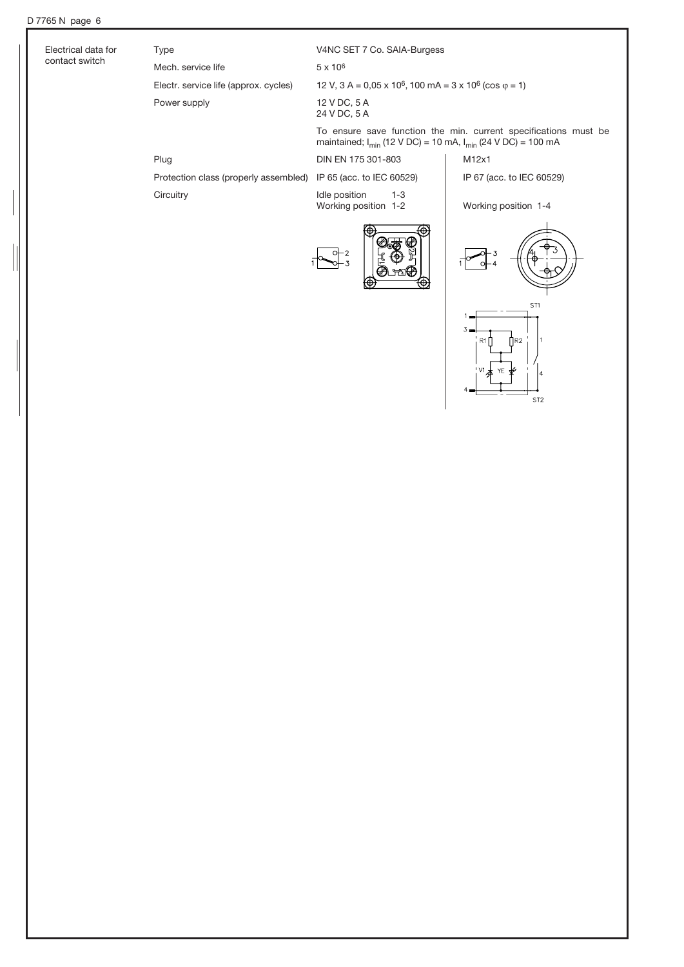$\frac{1}{2}$ 

| Electrical data for | <b>Type</b>                           | V4NC SET 7 Co. SAIA-Burgess                                                                                                                |                           |  |  |  |
|---------------------|---------------------------------------|--------------------------------------------------------------------------------------------------------------------------------------------|---------------------------|--|--|--|
| contact switch      | Mech, service life                    | $5 \times 10^6$                                                                                                                            |                           |  |  |  |
|                     | Electr. service life (approx. cycles) | 12 V, $3 A = 0.05 \times 10^6$ , 100 mA = $3 \times 10^6$ (cos $\varphi = 1$ )                                                             |                           |  |  |  |
|                     | Power supply                          | 12 V DC, 5 A<br>24 V DC, 5 A                                                                                                               |                           |  |  |  |
|                     |                                       | To ensure save function the min. current specifications must be<br>maintained; $I_{\min}$ (12 V DC) = 10 mA, $I_{\min}$ (24 V DC) = 100 mA |                           |  |  |  |
|                     | Plug                                  | DIN EN 175 301-803                                                                                                                         | M12x1                     |  |  |  |
|                     | Protection class (properly assembled) | IP 65 (acc. to IEC 60529)                                                                                                                  | IP 67 (acc. to IEC 60529) |  |  |  |
|                     | Circuitry                             | Idle position<br>$1 - 3$<br>Working position 1-2                                                                                           | Working position 1-4      |  |  |  |
|                     |                                       | ⋒<br>क़                                                                                                                                    |                           |  |  |  |







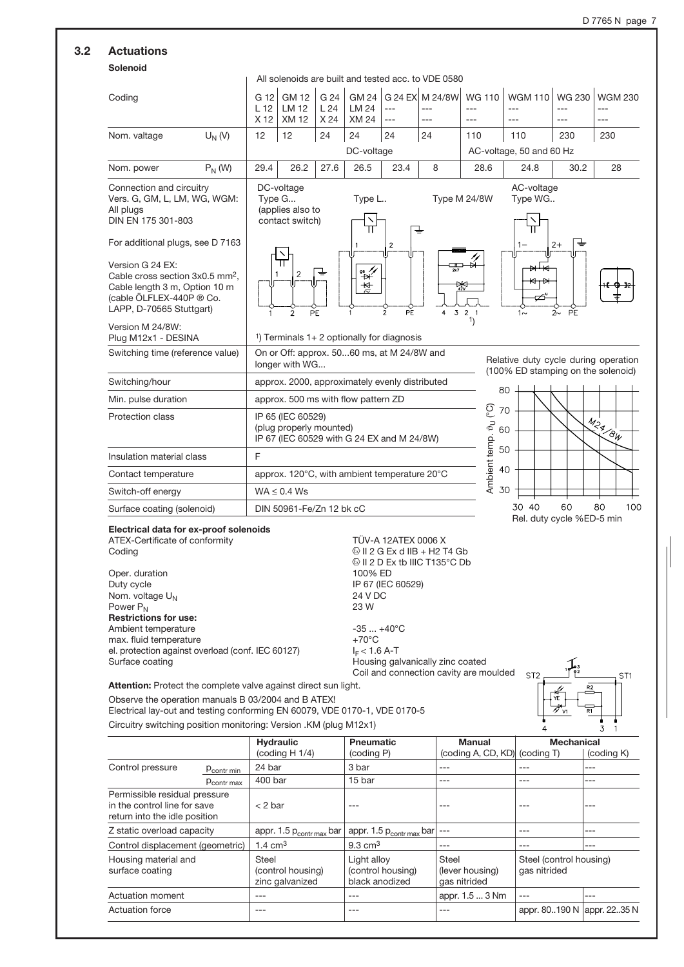## 3.2 Actuations

#### Solenoid

|                                                                                                                                                                                                                                                                                                                                                                            |           |                                 |                                                                          |                     |                                              |                                                                                                                                                               | All solenoids are built and tested acc, to VDE 0580 |                                                |                                                                            |                                     |                                  |
|----------------------------------------------------------------------------------------------------------------------------------------------------------------------------------------------------------------------------------------------------------------------------------------------------------------------------------------------------------------------------|-----------|---------------------------------|--------------------------------------------------------------------------|---------------------|----------------------------------------------|---------------------------------------------------------------------------------------------------------------------------------------------------------------|-----------------------------------------------------|------------------------------------------------|----------------------------------------------------------------------------|-------------------------------------|----------------------------------|
| Coding                                                                                                                                                                                                                                                                                                                                                                     |           | G 12<br>L <sub>12</sub><br>X 12 | <b>GM 12</b><br>LM 12<br><b>XM12</b>                                     | G 24<br>L24<br>X 24 | <b>GM 24</b><br><b>LM 24</b><br><b>XM 24</b> | $---$<br>$\overline{a}$                                                                                                                                       | G 24 EX M 24/8W<br>$---$                            | <b>WG 110</b><br>$---$<br>$---$                | <b>WGM 110</b><br>$---$                                                    | <b>WG 230</b><br>$- - -$<br>$- - -$ | <b>WGM 230</b><br>$---$<br>$---$ |
| Nom. valtage                                                                                                                                                                                                                                                                                                                                                               | $U_N$ (V) | 12                              | 12                                                                       | 24                  | 24                                           | 24                                                                                                                                                            | 24                                                  | 110                                            | 110                                                                        | 230                                 | 230                              |
|                                                                                                                                                                                                                                                                                                                                                                            |           |                                 |                                                                          |                     | DC-voltage                                   |                                                                                                                                                               |                                                     |                                                | AC-voltage, 50 and 60 Hz                                                   |                                     |                                  |
| Nom. power                                                                                                                                                                                                                                                                                                                                                                 | $P_N$ (W) | 29.4                            | 26.2                                                                     | 27.6                | 26.5                                         | 23.4                                                                                                                                                          | 8                                                   | 28.6                                           | 24.8                                                                       | 30.2                                | 28                               |
| Connection and circuitry<br>Vers. G, GM, L, LM, WG, WGM:<br>All plugs<br>DIN EN 175 301-803<br>For additional plugs, see D 7163<br>Version G 24 EX:<br>Cable cross section 3x0.5 mm <sup>2</sup> ,<br>Cable length 3 m, Option 10 m<br>(cable ÖLFLEX-440P ® Co.<br>LAPP, D-70565 Stuttgart)<br>Version M 24/8W:<br>Plug M12x1 - DESINA<br>Switching time (reference value) |           | Type G                          | DC-voltage<br>(applies also to<br>contact switch)<br>2<br>$\overline{2}$ | ╈<br>PE             | Type L<br>$\overrightarrow{a}$<br>챃          | $\overline{2}$<br>$\widetilde{PE}$<br>$\overline{2}$<br><sup>1</sup> ) Terminals $1+2$ optionally for diagnosis<br>On or Off: approx. 5060 ms, at M 24/8W and | ┹<br>$\overline{3}$<br>4                            | Type M 24/8W<br>₩<br>2 <sub>1</sub><br>1)      | AC-voltage<br>Type WG<br>$1 -$<br>$1\sim$                                  | $2+$<br>PE<br>$2\sim$               |                                  |
|                                                                                                                                                                                                                                                                                                                                                                            |           |                                 | longer with WG                                                           |                     |                                              |                                                                                                                                                               |                                                     |                                                | Relative duty cycle during operation<br>(100% ED stamping on the solenoid) |                                     |                                  |
| Switching/hour                                                                                                                                                                                                                                                                                                                                                             |           |                                 |                                                                          |                     |                                              | approx. 2000, approximately evenly distributed                                                                                                                |                                                     |                                                | 80                                                                         |                                     |                                  |
| Min. pulse duration                                                                                                                                                                                                                                                                                                                                                        |           |                                 |                                                                          |                     | approx. 500 ms with flow pattern ZD          |                                                                                                                                                               |                                                     |                                                | 70                                                                         |                                     |                                  |
| Protection class                                                                                                                                                                                                                                                                                                                                                           |           |                                 | IP 65 (IEC 60529)<br>(plug properly mounted)                             |                     |                                              | IP 67 (IEC 60529 with G 24 EX and M 24/8W)                                                                                                                    |                                                     | $\widetilde{C}$<br>Ambient temp. $\vartheta_U$ | 60                                                                         |                                     | M34/8W                           |
| Insulation material class                                                                                                                                                                                                                                                                                                                                                  |           | F                               |                                                                          |                     |                                              |                                                                                                                                                               |                                                     |                                                | 50                                                                         |                                     |                                  |
| Contact temperature                                                                                                                                                                                                                                                                                                                                                        |           |                                 |                                                                          |                     |                                              | approx. 120°C, with ambient temperature 20°C                                                                                                                  |                                                     |                                                | 40                                                                         |                                     |                                  |
| Switch-off energy                                                                                                                                                                                                                                                                                                                                                          |           |                                 | $WA \leq 0.4$ Ws                                                         |                     |                                              |                                                                                                                                                               |                                                     |                                                | 30                                                                         |                                     |                                  |
| Surface coating (solenoid)                                                                                                                                                                                                                                                                                                                                                 |           |                                 | DIN 50961-Fe/Zn 12 bk cC                                                 |                     |                                              |                                                                                                                                                               |                                                     |                                                | 30 40                                                                      | 60                                  | 80<br>100                        |
| Electrical data for ex-proof solenoids<br>ATEX-Certificate of conformity                                                                                                                                                                                                                                                                                                   |           |                                 |                                                                          |                     |                                              | TÜV-A 12ATEX 0006 X                                                                                                                                           |                                                     |                                                |                                                                            | Rel. duty cycle %ED-5 min           |                                  |

Oper. duration<br>Duty cycle Nom. voltage  $U_N$  24 V DC<br>
Power P<sub>N</sub> 23 W  $Power P<sub>N</sub>$ Restrictions for use: Ambient temperature  $-35$  ... +40°C max. fluid temperature  $+70^{\circ}$ C

 $\text{Coding}$   $\textcircled{1}$   $\textcircled{1}$   $\textcircled{1}$   $\textcircled{2}$   $\textcircled{1}$   $\textcircled{2}$   $\textcircled{1}$   $\textcircled{2}$   $\textcircled{1}$   $\textcircled{3}$   $\textcircled{4}$   $\textcircled{1}$   $\textcircled{5}$   $\textcircled{1}$   $\textcircled{3}$   $\textcircled{4}$   $\textcircled{5}$   $\textcircled{7}$   $\textcircled{6}$   $\textcircled{7}$   $\textcircled{7}$   $\text$  $\textcircled{\scriptsize{\text{II}}}$  12 D Ex tb IIIC T135°C Db 100% ED IP 67 (IEC 60529) el. protection against overload (conf. IEC 60127)  $I_F < 1.6$  A-T<br>Surface coating  $\blacksquare$ Housing galvanically zinc coated





Attention: Protect the complete valve against direct sun light. Observe the operation manuals B 03/2004 and B ATEX! Electrical lay-out and testing conforming EN 60079, VDE 0170-1, VDE 0170-5

Circuitry switching position monitoring: Version .KM (plug M12x1)

|                                                                                                |                        | <b>Hydraulic</b>                              | <b>Pneumatic</b>                                   | Manual                                   | <b>Mechanical</b>                       |              |
|------------------------------------------------------------------------------------------------|------------------------|-----------------------------------------------|----------------------------------------------------|------------------------------------------|-----------------------------------------|--------------|
|                                                                                                |                        | (coding $H 1/4$ )                             | (coding P)                                         | (coding A, CD, KD) (coding T)            |                                         | (coding K)   |
| Control pressure                                                                               | P <sub>contr</sub> min | 24 bar                                        | 3 bar                                              | ---                                      | ---                                     | ---          |
|                                                                                                | P <sub>contr</sub> max | 400 bar                                       | 15 bar                                             | $---$                                    | $---$                                   | ---          |
| Permissible residual pressure<br>in the control line for save<br>return into the idle position |                        | $<$ 2 bar                                     |                                                    | ---                                      | ---                                     | ---          |
| Z static overload capacity                                                                     |                        | appr. 1.5 $p_{contr max}$ bar                 | appr. 1.5 $p_{contr \, max}$ bar                   | $\frac{1}{2}$                            | $---$                                   | ---          |
| Control displacement (geometric)                                                               |                        | $1.4 \text{ cm}^3$                            | $9.3 \text{ cm}^3$                                 | $- - -$                                  | $---$                                   | ---          |
| Housing material and<br>surface coating                                                        |                        | Steel<br>(control housing)<br>zinc galvanized | Light alloy<br>(control housing)<br>black anodized | Steel<br>(lever housing)<br>gas nitrided | Steel (control housing)<br>gas nitrided |              |
| Actuation moment                                                                               |                        |                                               | ---                                                | appr. 1.5  3 Nm                          | $---$                                   | ---          |
| Actuation force                                                                                |                        |                                               | ---                                                | ---                                      | appr. 80190 N                           | appr. 2235 N |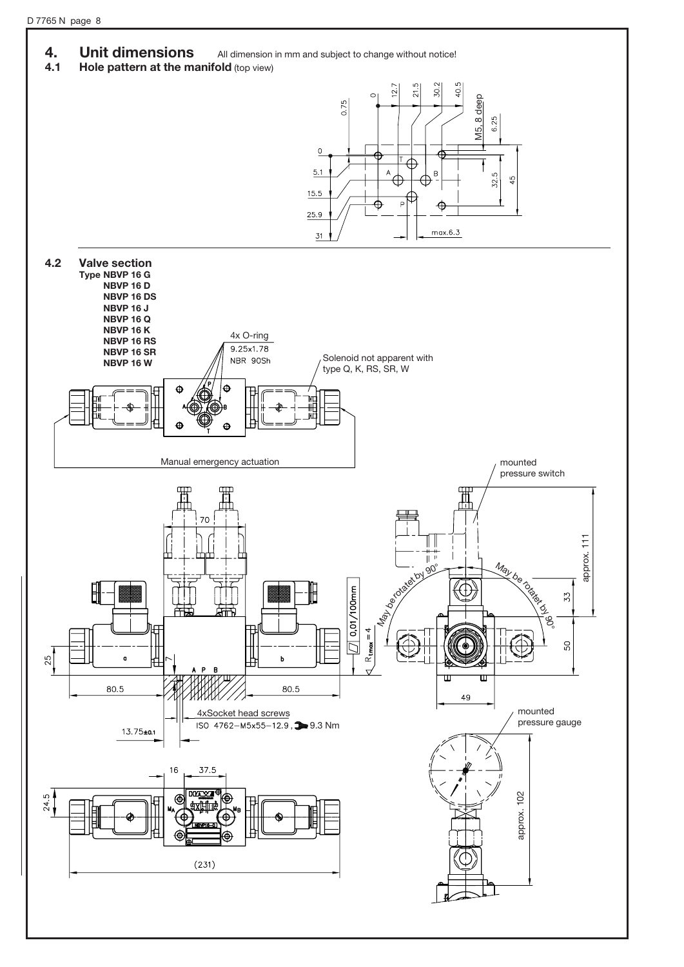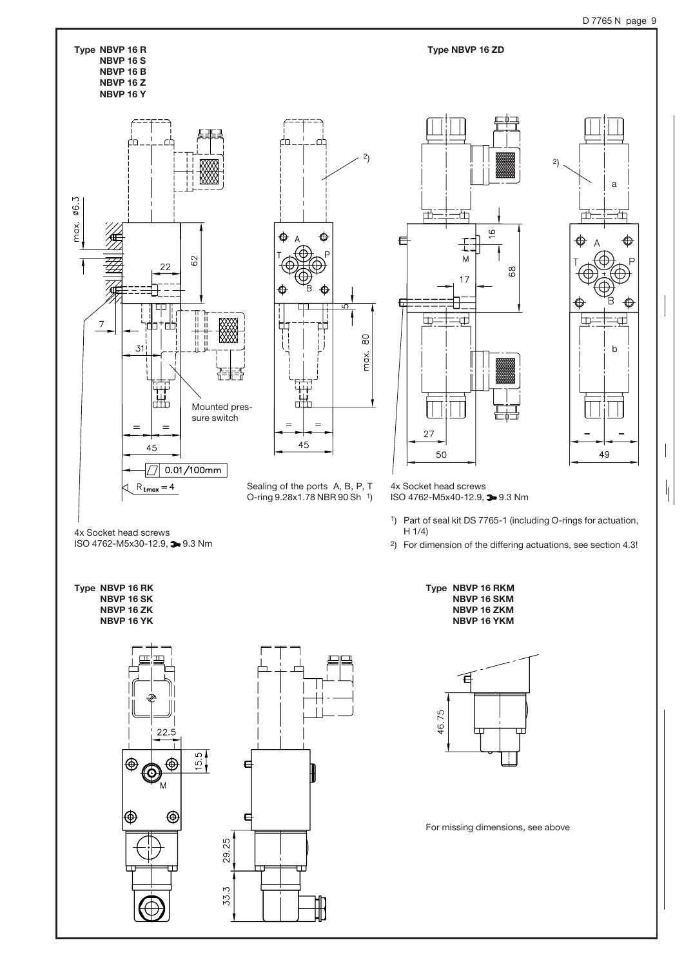$\mathbb{L}$ 

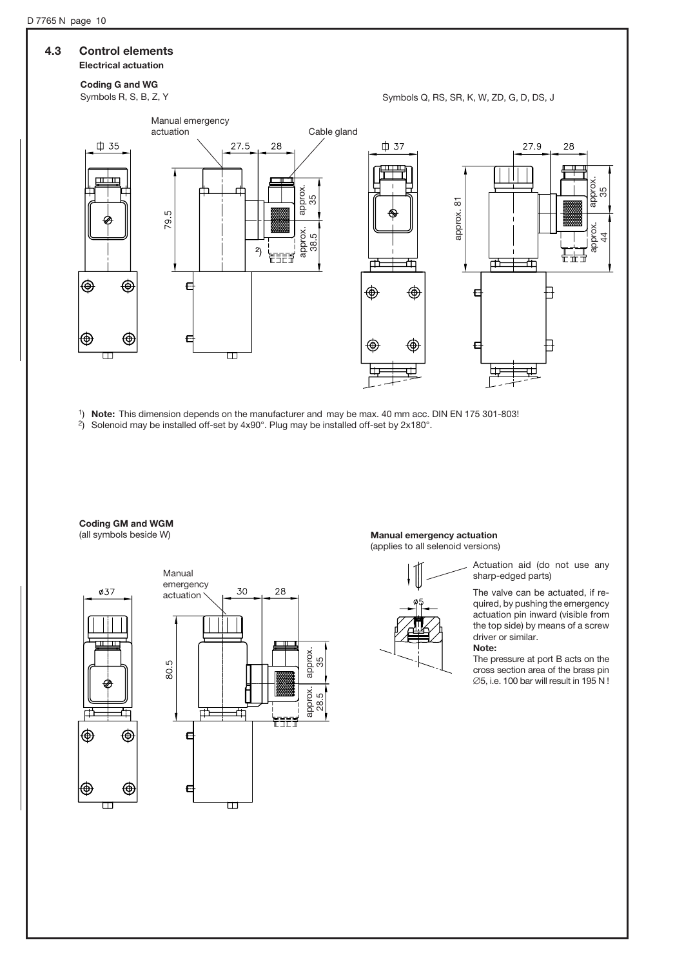## 4.3 Control elements

## Electrical actuation

Coding G and WG

Symbols R, S, B, Z, Y Symbols Q, RS, SR, K, W, ZD, G, D, DS, J



1) Note: This dimension depends on the manufacturer and may be max. 40 mm acc. DIN EN 175 301-803!

2) Solenoid may be installed off-set by 4x90°. Plug may be installed off-set by 2x180°.

## **Coding GM and WGM**<br>(all symbols beside W)





#### Manual emergency actuation (applies to all selenoid versions)



Actuation aid (do not use any sharp-edged parts)

The valve can be actuated, if required, by pushing the emergency actuation pin inward (visible from the top side) by means of a screw driver or similar. Note:

The pressure at port B acts on the cross section area of the brass pin  $\varnothing$ 5, i.e. 100 bar will result in 195 N !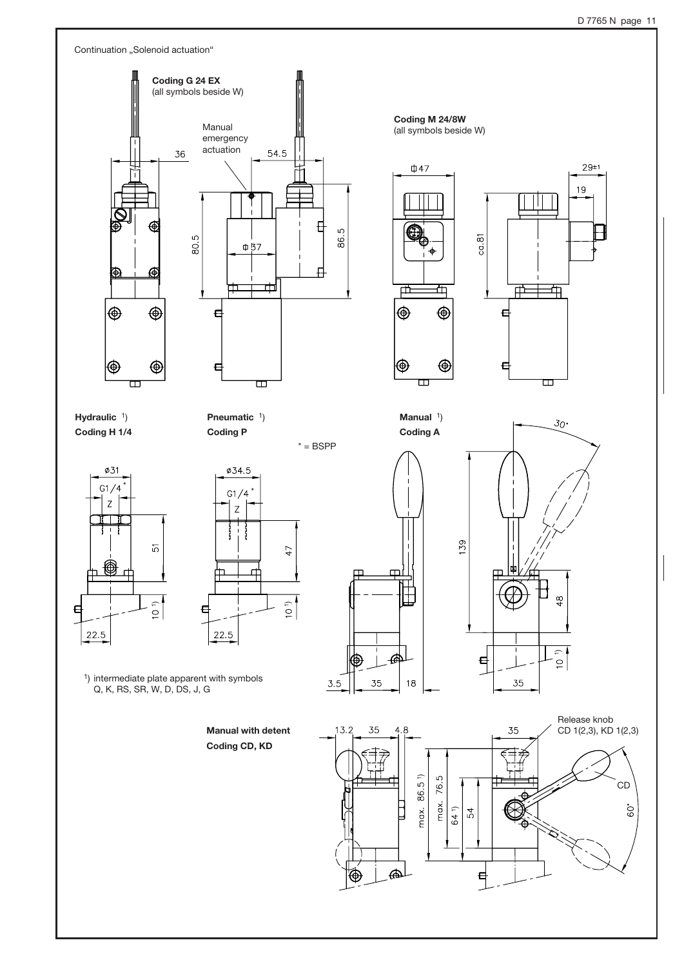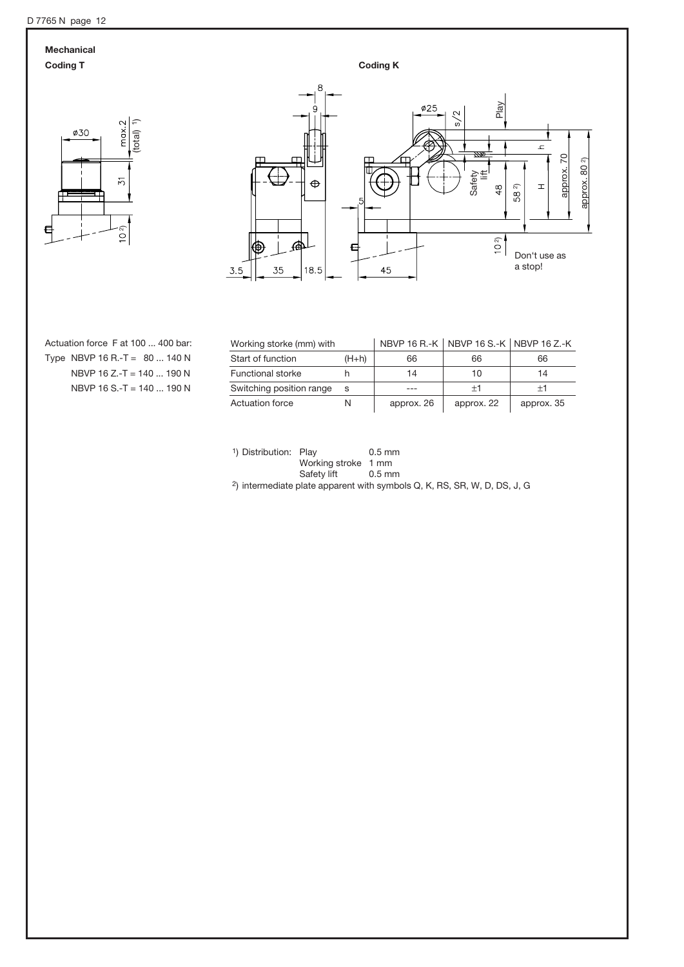## Mechanical





Actuation force F at 100 ... 400 bar: Type NBVP 16 R.-T =  $80...140$  N NBVP 16 Z.-T = 140 ... 190 N NBVP 16 S.-T = 140 ... 190 N

| Working storke (mm) with |         |            | NBVP 16 R.-K NBVP 16 S.-K NBVP 16 Z.-K |                  |
|--------------------------|---------|------------|----------------------------------------|------------------|
| Start of function        | $(H+h)$ | 66         | 66                                     | 66               |
| <b>Functional storke</b> |         | 14         | 10                                     | 14               |
| Switching position range | S       |            | $^{\mathrm{+1}}$                       | $^{\mathrm{+1}}$ |
| <b>Actuation force</b>   | N       | approx. 26 | approx. 22                             | approx. 35       |

<sup>1</sup>) Distribution: Play 0.5 mm Working stroke 1 mm<br>Safety lift 0.5 mm

Safety lift 0.5 mm<br>
2) intermediate plate apparent with symbols Q, K, RS, SR, W, D, DS, J, G